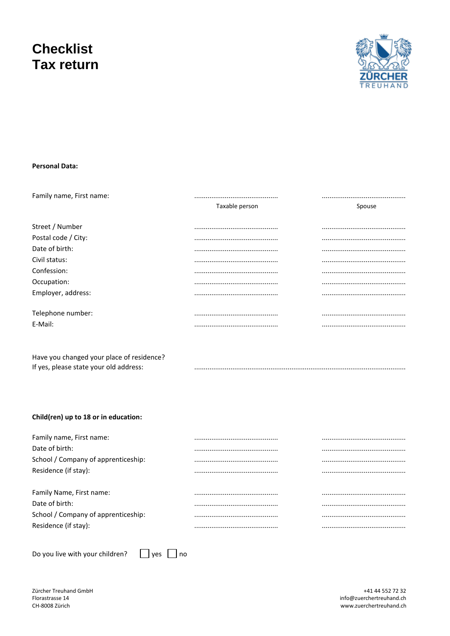# **Checklist Tax return**



# **Personal Data:**

| Family name, First name: |                |        |  |
|--------------------------|----------------|--------|--|
|                          | Taxable person | Spouse |  |
|                          |                |        |  |
| Street / Number          |                |        |  |
| Postal code / City:      |                |        |  |
| Date of birth:           |                |        |  |
| Civil status:            |                |        |  |
| Confession:              |                |        |  |
| Occupation:              |                |        |  |
| Employer, address:       |                |        |  |
| Telephone number:        |                |        |  |
|                          |                |        |  |
| E-Mail:                  |                |        |  |

Have you changed your place of residence? If yes, please state your old address:

# Child(ren) up to 18 or in education:

Do you live with your children?

 $\Box$  yes  $\Box$  no